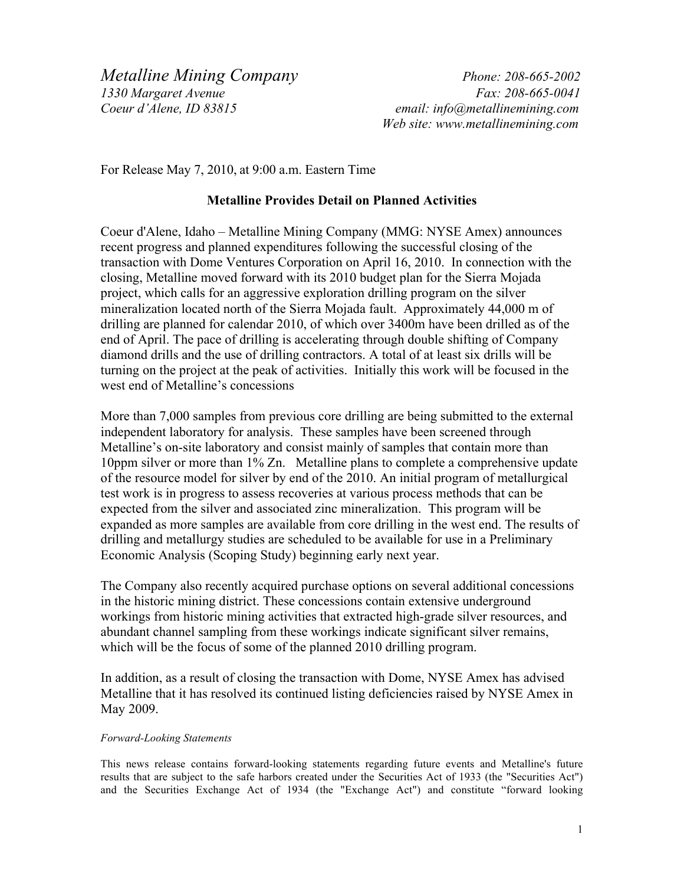*Metalline Mining Company Phone: 208-665-2002 1330 Margaret Avenue Fax: 208-665-0041 Coeur d'Alene, ID 83815 email: info@metallinemining.com*

 *Web site: www.metallinemining.com* 

For Release May 7, 2010, at 9:00 a.m. Eastern Time

## **Metalline Provides Detail on Planned Activities**

Coeur d'Alene, Idaho – Metalline Mining Company (MMG: NYSE Amex) announces recent progress and planned expenditures following the successful closing of the transaction with Dome Ventures Corporation on April 16, 2010. In connection with the closing, Metalline moved forward with its 2010 budget plan for the Sierra Mojada project, which calls for an aggressive exploration drilling program on the silver mineralization located north of the Sierra Mojada fault. Approximately 44,000 m of drilling are planned for calendar 2010, of which over 3400m have been drilled as of the end of April. The pace of drilling is accelerating through double shifting of Company diamond drills and the use of drilling contractors. A total of at least six drills will be turning on the project at the peak of activities. Initially this work will be focused in the west end of Metalline's concessions

More than 7,000 samples from previous core drilling are being submitted to the external independent laboratory for analysis. These samples have been screened through Metalline's on-site laboratory and consist mainly of samples that contain more than 10ppm silver or more than 1% Zn. Metalline plans to complete a comprehensive update of the resource model for silver by end of the 2010. An initial program of metallurgical test work is in progress to assess recoveries at various process methods that can be expected from the silver and associated zinc mineralization. This program will be expanded as more samples are available from core drilling in the west end. The results of drilling and metallurgy studies are scheduled to be available for use in a Preliminary Economic Analysis (Scoping Study) beginning early next year.

The Company also recently acquired purchase options on several additional concessions in the historic mining district. These concessions contain extensive underground workings from historic mining activities that extracted high-grade silver resources, and abundant channel sampling from these workings indicate significant silver remains, which will be the focus of some of the planned 2010 drilling program.

In addition, as a result of closing the transaction with Dome, NYSE Amex has advised Metalline that it has resolved its continued listing deficiencies raised by NYSE Amex in May 2009.

## *Forward-Looking Statements*

This news release contains forward-looking statements regarding future events and Metalline's future results that are subject to the safe harbors created under the Securities Act of 1933 (the "Securities Act") and the Securities Exchange Act of 1934 (the "Exchange Act") and constitute "forward looking